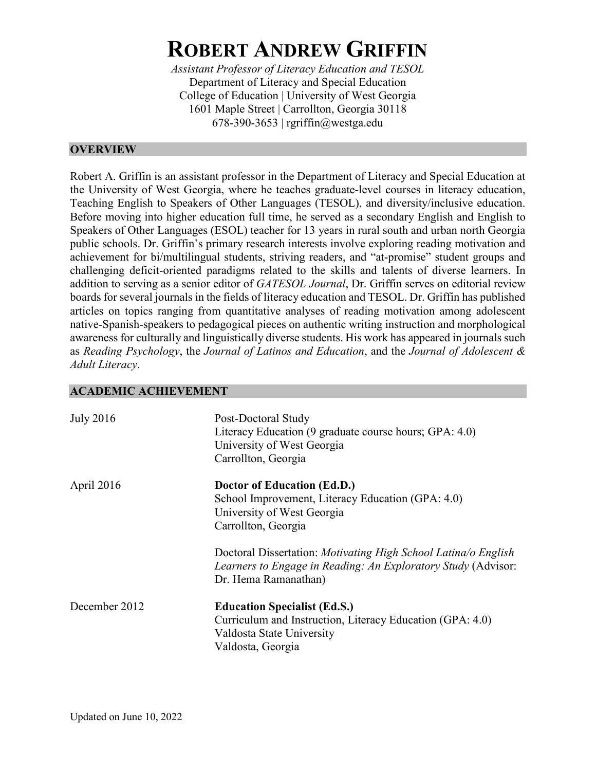# **ROBERT ANDREW GRIFFIN**

*Assistant Professor of Literacy Education and TESOL* Department of Literacy and Special Education College of Education | University of West Georgia 1601 Maple Street | Carrollton, Georgia 30118 678-390-3653 | rgriffin@westga.edu

# **OVERVIEW**

Robert A. Griffin is an assistant professor in the Department of Literacy and Special Education at the University of West Georgia, where he teaches graduate-level courses in literacy education, Teaching English to Speakers of Other Languages (TESOL), and diversity/inclusive education. Before moving into higher education full time, he served as a secondary English and English to Speakers of Other Languages (ESOL) teacher for 13 years in rural south and urban north Georgia public schools. Dr. Griffin's primary research interests involve exploring reading motivation and achievement for bi/multilingual students, striving readers, and "at-promise" student groups and challenging deficit-oriented paradigms related to the skills and talents of diverse learners. In addition to serving as a senior editor of *GATESOL Journal*, Dr. Griffin serves on editorial review boards for several journals in the fields of literacy education and TESOL. Dr. Griffin has published articles on topics ranging from quantitative analyses of reading motivation among adolescent native-Spanish-speakers to pedagogical pieces on authentic writing instruction and morphological awareness for culturally and linguistically diverse students. His work has appeared in journals such as *Reading Psychology*, the *Journal of Latinos and Education*, and the *Journal of Adolescent & Adult Literacy*.

# **ACADEMIC ACHIEVEMENT**

| <b>July 2016</b> | Post-Doctoral Study<br>Literacy Education (9 graduate course hours; GPA: 4.0)<br>University of West Georgia<br>Carrollton, Georgia                             |
|------------------|----------------------------------------------------------------------------------------------------------------------------------------------------------------|
| April 2016       | Doctor of Education (Ed.D.)<br>School Improvement, Literacy Education (GPA: 4.0)<br>University of West Georgia<br>Carrollton, Georgia                          |
|                  | Doctoral Dissertation: Motivating High School Latina/o English<br><i>Learners to Engage in Reading: An Exploratory Study (Advisor:</i><br>Dr. Hema Ramanathan) |
| December 2012    | <b>Education Specialist (Ed.S.)</b><br>Curriculum and Instruction, Literacy Education (GPA: 4.0)<br>Valdosta State University<br>Valdosta, Georgia             |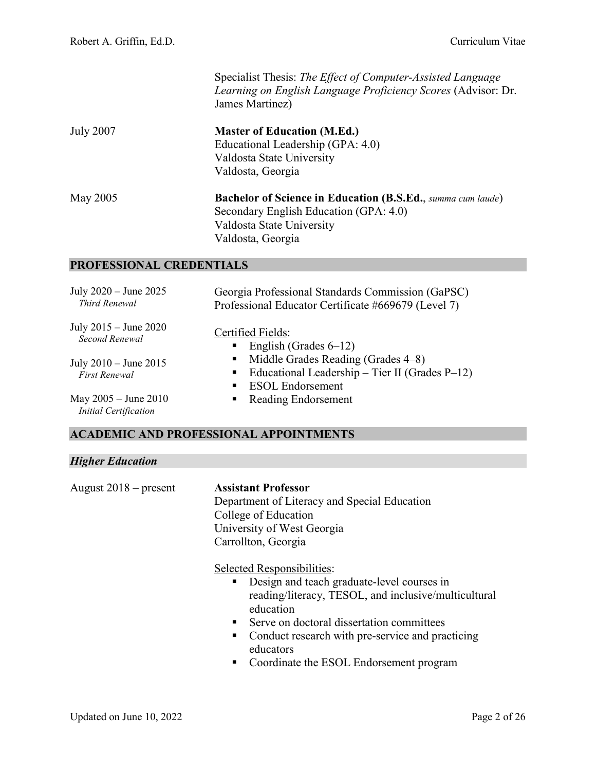|                                                      | Specialist Thesis: The Effect of Computer-Assisted Language<br>Learning on English Language Proficiency Scores (Advisor: Dr.<br>James Martinez)                                                                                                                                                             |
|------------------------------------------------------|-------------------------------------------------------------------------------------------------------------------------------------------------------------------------------------------------------------------------------------------------------------------------------------------------------------|
| <b>July 2007</b>                                     | <b>Master of Education (M.Ed.)</b><br>Educational Leadership (GPA: 4.0)<br>Valdosta State University<br>Valdosta, Georgia                                                                                                                                                                                   |
| <b>May 2005</b>                                      | <b>Bachelor of Science in Education (B.S.Ed., summa cum laude)</b><br>Secondary English Education (GPA: 4.0)<br>Valdosta State University<br>Valdosta, Georgia                                                                                                                                              |
| PROFESSIONAL CREDENTIALS                             |                                                                                                                                                                                                                                                                                                             |
| July 2020 - June 2025<br>Third Renewal               | Georgia Professional Standards Commission (GaPSC)<br>Professional Educator Certificate #669679 (Level 7)                                                                                                                                                                                                    |
| July 2015 - June 2020<br>Second Renewal              | Certified Fields:<br>English (Grades $6-12$ )<br>п                                                                                                                                                                                                                                                          |
| July 2010 – June 2015<br><b>First Renewal</b>        | Middle Grades Reading (Grades 4–8)<br>Educational Leadership – Tier II (Grades $P-12$ )<br>ш<br><b>ESOL</b> Endorsement                                                                                                                                                                                     |
| May 2005 - June 2010<br><b>Initial Certification</b> | Reading Endorsement                                                                                                                                                                                                                                                                                         |
|                                                      | <b>ACADEMIC AND PROFESSIONAL APPOINTMENTS</b>                                                                                                                                                                                                                                                               |
| <b>Higher Education</b>                              |                                                                                                                                                                                                                                                                                                             |
| August $2018$ – present                              | <b>Assistant Professor</b><br>Department of Literacy and Special Education<br>College of Education<br>University of West Georgia<br>Carrollton, Georgia                                                                                                                                                     |
|                                                      | Selected Responsibilities:<br>Design and teach graduate-level courses in<br>reading/literacy, TESOL, and inclusive/multicultural<br>education<br>Serve on doctoral dissertation committees<br>٠<br>Conduct research with pre-service and practicing<br>educators<br>Coordinate the ESOL Endorsement program |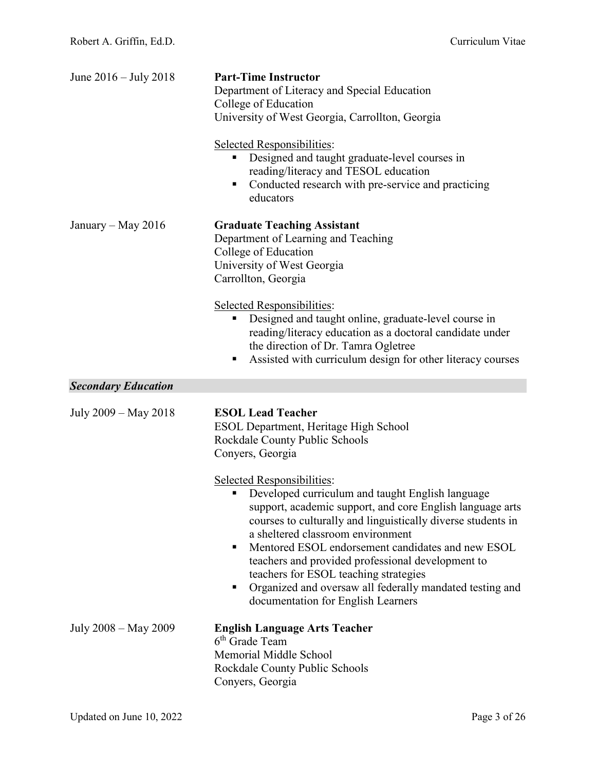| June $2016 -$ July 2018    | <b>Part-Time Instructor</b><br>Department of Literacy and Special Education<br>College of Education<br>University of West Georgia, Carrollton, Georgia<br>Selected Responsibilities:<br>Designed and taught graduate-level courses in<br>reading/literacy and TESOL education<br>Conducted research with pre-service and practicing<br>п<br>educators                                                                                                                                                                                                                                                                                             |
|----------------------------|---------------------------------------------------------------------------------------------------------------------------------------------------------------------------------------------------------------------------------------------------------------------------------------------------------------------------------------------------------------------------------------------------------------------------------------------------------------------------------------------------------------------------------------------------------------------------------------------------------------------------------------------------|
| January – May 2016         | <b>Graduate Teaching Assistant</b><br>Department of Learning and Teaching<br>College of Education<br>University of West Georgia<br>Carrollton, Georgia<br>Selected Responsibilities:<br>Designed and taught online, graduate-level course in<br>reading/literacy education as a doctoral candidate under<br>the direction of Dr. Tamra Ogletree<br>Assisted with curriculum design for other literacy courses<br>п                                                                                                                                                                                                                                |
| <b>Secondary Education</b> |                                                                                                                                                                                                                                                                                                                                                                                                                                                                                                                                                                                                                                                   |
| July 2009 – May 2018       | <b>ESOL Lead Teacher</b><br><b>ESOL Department, Heritage High School</b><br>Rockdale County Public Schools<br>Conyers, Georgia<br>Selected Responsibilities:<br>Developed curriculum and taught English language<br>support, academic support, and core English language arts<br>courses to culturally and linguistically diverse students in<br>a sheltered classroom environment<br>Mentored ESOL endorsement candidates and new ESOL<br>٠<br>teachers and provided professional development to<br>teachers for ESOL teaching strategies<br>Organized and oversaw all federally mandated testing and<br>п<br>documentation for English Learners |
| July 2008 - May 2009       | <b>English Language Arts Teacher</b><br>6 <sup>th</sup> Grade Team<br>Memorial Middle School                                                                                                                                                                                                                                                                                                                                                                                                                                                                                                                                                      |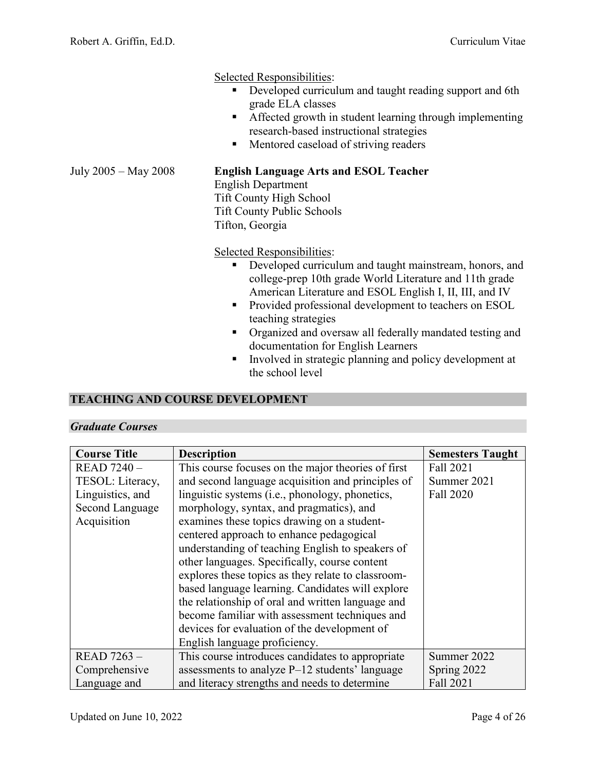Selected Responsibilities:

- Developed curriculum and taught reading support and 6th grade ELA classes
- **Affected growth in student learning through implementing** research-based instructional strategies
- **Mentored caseload of striving readers**

# July 2005 – May 2008 **English Language Arts and ESOL Teacher**

English Department Tift County High School Tift County Public Schools Tifton, Georgia

Selected Responsibilities:

- Developed curriculum and taught mainstream, honors, and college-prep 10th grade World Literature and 11th grade American Literature and ESOL English I, II, III, and IV
- **Provided professional development to teachers on ESOL** teaching strategies
- **•** Organized and oversaw all federally mandated testing and documentation for English Learners
- Involved in strategic planning and policy development at the school level

# **TEACHING AND COURSE DEVELOPMENT**

# *Graduate Courses*

| <b>Course Title</b> | <b>Description</b>                                 | <b>Semesters Taught</b> |
|---------------------|----------------------------------------------------|-------------------------|
| <b>READ 7240 -</b>  | This course focuses on the major theories of first | Fall 2021               |
| TESOL: Literacy,    | and second language acquisition and principles of  | Summer 2021             |
| Linguistics, and    | linguistic systems (i.e., phonology, phonetics,    | Fall 2020               |
| Second Language     | morphology, syntax, and pragmatics), and           |                         |
| Acquisition         | examines these topics drawing on a student-        |                         |
|                     | centered approach to enhance pedagogical           |                         |
|                     | understanding of teaching English to speakers of   |                         |
|                     | other languages. Specifically, course content      |                         |
|                     | explores these topics as they relate to classroom- |                         |
|                     | based language learning. Candidates will explore   |                         |
|                     | the relationship of oral and written language and  |                         |
|                     | become familiar with assessment techniques and     |                         |
|                     | devices for evaluation of the development of       |                         |
|                     | English language proficiency.                      |                         |
| <b>READ 7263 -</b>  | This course introduces candidates to appropriate   | Summer 2022             |
| Comprehensive       | assessments to analyze $P-12$ students' language   | Spring 2022             |
| Language and        | and literacy strengths and needs to determine      | Fall 2021               |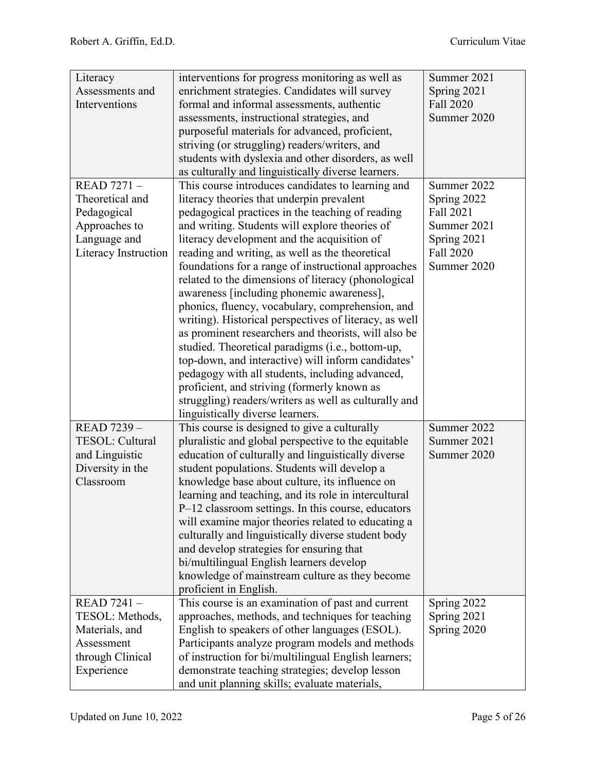| Literacy             | interventions for progress monitoring as well as       | Summer 2021 |
|----------------------|--------------------------------------------------------|-------------|
| Assessments and      | enrichment strategies. Candidates will survey          | Spring 2021 |
| Interventions        | formal and informal assessments, authentic             | Fall 2020   |
|                      | assessments, instructional strategies, and             | Summer 2020 |
|                      | purposeful materials for advanced, proficient,         |             |
|                      | striving (or struggling) readers/writers, and          |             |
|                      | students with dyslexia and other disorders, as well    |             |
|                      | as culturally and linguistically diverse learners.     |             |
| <b>READ 7271 -</b>   | This course introduces candidates to learning and      | Summer 2022 |
| Theoretical and      | literacy theories that underpin prevalent              | Spring 2022 |
| Pedagogical          | pedagogical practices in the teaching of reading       | Fall 2021   |
| Approaches to        | and writing. Students will explore theories of         | Summer 2021 |
| Language and         | literacy development and the acquisition of            | Spring 2021 |
| Literacy Instruction | reading and writing, as well as the theoretical        | Fall 2020   |
|                      | foundations for a range of instructional approaches    | Summer 2020 |
|                      | related to the dimensions of literacy (phonological    |             |
|                      | awareness [including phonemic awareness],              |             |
|                      | phonics, fluency, vocabulary, comprehension, and       |             |
|                      | writing). Historical perspectives of literacy, as well |             |
|                      | as prominent researchers and theorists, will also be   |             |
|                      | studied. Theoretical paradigms (i.e., bottom-up,       |             |
|                      | top-down, and interactive) will inform candidates'     |             |
|                      | pedagogy with all students, including advanced,        |             |
|                      | proficient, and striving (formerly known as            |             |
|                      | struggling) readers/writers as well as culturally and  |             |
|                      | linguistically diverse learners.                       |             |
| READ 7239 -          | This course is designed to give a culturally           | Summer 2022 |
| TESOL: Cultural      | pluralistic and global perspective to the equitable    | Summer 2021 |
| and Linguistic       | education of culturally and linguistically diverse     | Summer 2020 |
| Diversity in the     | student populations. Students will develop a           |             |
| Classroom            | knowledge base about culture, its influence on         |             |
|                      | learning and teaching, and its role in intercultural   |             |
|                      | P-12 classroom settings. In this course, educators     |             |
|                      | will examine major theories related to educating a     |             |
|                      | culturally and linguistically diverse student body     |             |
|                      | and develop strategies for ensuring that               |             |
|                      | bi/multilingual English learners develop               |             |
|                      | knowledge of mainstream culture as they become         |             |
|                      | proficient in English.                                 |             |
| <b>READ 7241 -</b>   | This course is an examination of past and current      | Spring 2022 |
| TESOL: Methods,      | approaches, methods, and techniques for teaching       | Spring 2021 |
| Materials, and       | English to speakers of other languages (ESOL).         | Spring 2020 |
| Assessment           | Participants analyze program models and methods        |             |
| through Clinical     | of instruction for bi/multilingual English learners;   |             |
| Experience           | demonstrate teaching strategies; develop lesson        |             |
|                      | and unit planning skills; evaluate materials,          |             |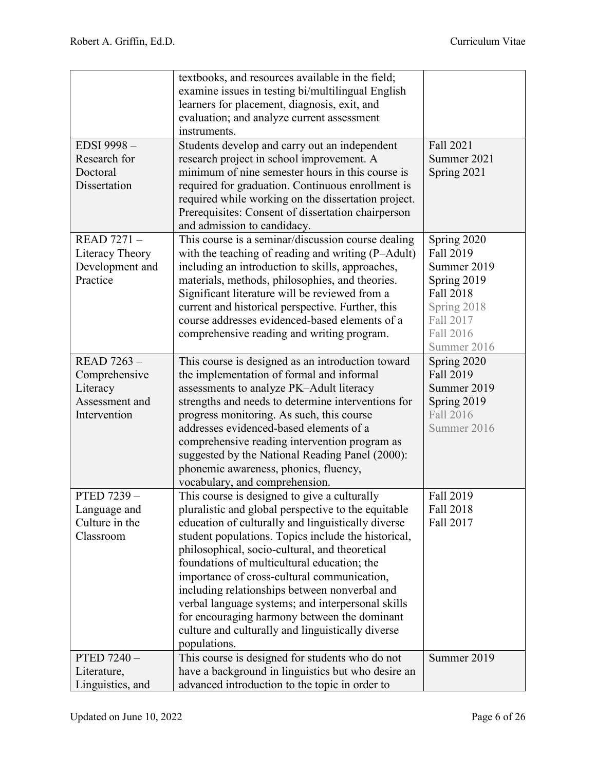|                                                                                   | textbooks, and resources available in the field;<br>examine issues in testing bi/multilingual English<br>learners for placement, diagnosis, exit, and<br>evaluation; and analyze current assessment<br>instruments.                                                                                                                                                                                                                                                                                                                                                                         |                                                                                                                             |
|-----------------------------------------------------------------------------------|---------------------------------------------------------------------------------------------------------------------------------------------------------------------------------------------------------------------------------------------------------------------------------------------------------------------------------------------------------------------------------------------------------------------------------------------------------------------------------------------------------------------------------------------------------------------------------------------|-----------------------------------------------------------------------------------------------------------------------------|
| EDSI 9998-<br>Research for<br>Doctoral<br>Dissertation                            | Students develop and carry out an independent<br>research project in school improvement. A<br>minimum of nine semester hours in this course is<br>required for graduation. Continuous enrollment is                                                                                                                                                                                                                                                                                                                                                                                         | Fall 2021<br>Summer 2021<br>Spring 2021                                                                                     |
|                                                                                   | required while working on the dissertation project.<br>Prerequisites: Consent of dissertation chairperson<br>and admission to candidacy.                                                                                                                                                                                                                                                                                                                                                                                                                                                    |                                                                                                                             |
| <b>READ 7271 -</b><br>Literacy Theory<br>Development and<br>Practice              | This course is a seminar/discussion course dealing<br>with the teaching of reading and writing (P-Adult)<br>including an introduction to skills, approaches,<br>materials, methods, philosophies, and theories.<br>Significant literature will be reviewed from a<br>current and historical perspective. Further, this<br>course addresses evidenced-based elements of a<br>comprehensive reading and writing program.                                                                                                                                                                      | Spring 2020<br>Fall 2019<br>Summer 2019<br>Spring 2019<br>Fall 2018<br>Spring 2018<br>Fall 2017<br>Fall 2016<br>Summer 2016 |
| <b>READ 7263 -</b><br>Comprehensive<br>Literacy<br>Assessment and<br>Intervention | This course is designed as an introduction toward<br>the implementation of formal and informal<br>assessments to analyze PK-Adult literacy<br>strengths and needs to determine interventions for<br>progress monitoring. As such, this course<br>addresses evidenced-based elements of a<br>comprehensive reading intervention program as<br>suggested by the National Reading Panel (2000):<br>phonemic awareness, phonics, fluency,<br>vocabulary, and comprehension.                                                                                                                     | Spring 2020<br>Fall 2019<br>Summer 2019<br>Spring 2019<br>Fall 2016<br>Summer 2016                                          |
| PTED 7239-<br>Language and<br>Culture in the<br>Classroom                         | This course is designed to give a culturally<br>pluralistic and global perspective to the equitable<br>education of culturally and linguistically diverse<br>student populations. Topics include the historical,<br>philosophical, socio-cultural, and theoretical<br>foundations of multicultural education; the<br>importance of cross-cultural communication,<br>including relationships between nonverbal and<br>verbal language systems; and interpersonal skills<br>for encouraging harmony between the dominant<br>culture and culturally and linguistically diverse<br>populations. | Fall 2019<br>Fall 2018<br>Fall 2017                                                                                         |
| PTED 7240 -<br>Literature,<br>Linguistics, and                                    | This course is designed for students who do not<br>have a background in linguistics but who desire an<br>advanced introduction to the topic in order to                                                                                                                                                                                                                                                                                                                                                                                                                                     | Summer 2019                                                                                                                 |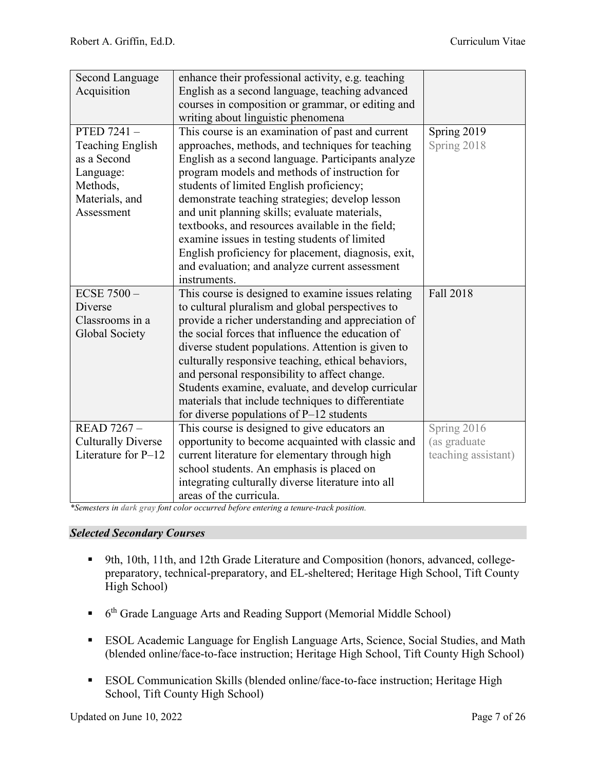| Second Language<br>Acquisition                                                                                | enhance their professional activity, e.g. teaching<br>English as a second language, teaching advanced<br>courses in composition or grammar, or editing and<br>writing about linguistic phenomena                                                                                                                                                                                                                                                                                                                                                                                           |                                                    |
|---------------------------------------------------------------------------------------------------------------|--------------------------------------------------------------------------------------------------------------------------------------------------------------------------------------------------------------------------------------------------------------------------------------------------------------------------------------------------------------------------------------------------------------------------------------------------------------------------------------------------------------------------------------------------------------------------------------------|----------------------------------------------------|
| PTED 7241-<br><b>Teaching English</b><br>as a Second<br>Language:<br>Methods,<br>Materials, and<br>Assessment | This course is an examination of past and current<br>approaches, methods, and techniques for teaching<br>English as a second language. Participants analyze<br>program models and methods of instruction for<br>students of limited English proficiency;<br>demonstrate teaching strategies; develop lesson<br>and unit planning skills; evaluate materials,<br>textbooks, and resources available in the field;<br>examine issues in testing students of limited<br>English proficiency for placement, diagnosis, exit,<br>and evaluation; and analyze current assessment<br>instruments. | Spring 2019<br>Spring 2018                         |
| <b>ECSE 7500 --</b><br>Diverse<br>Classrooms in a<br>Global Society                                           | This course is designed to examine issues relating<br>to cultural pluralism and global perspectives to<br>provide a richer understanding and appreciation of<br>the social forces that influence the education of<br>diverse student populations. Attention is given to<br>culturally responsive teaching, ethical behaviors,<br>and personal responsibility to affect change.<br>Students examine, evaluate, and develop curricular<br>materials that include techniques to differentiate<br>for diverse populations of $P-12$ students                                                   | Fall 2018                                          |
| <b>READ 7267 -</b><br><b>Culturally Diverse</b><br>Literature for P-12                                        | This course is designed to give educators an<br>opportunity to become acquainted with classic and<br>current literature for elementary through high<br>school students. An emphasis is placed on<br>integrating culturally diverse literature into all<br>areas of the curricula.                                                                                                                                                                                                                                                                                                          | Spring 2016<br>(as graduate<br>teaching assistant) |

*\*Semesters in dark gray font color occurred before entering a tenure-track position.*

# *Selected Secondary Courses*

- 9th, 10th, 11th, and 12th Grade Literature and Composition (honors, advanced, collegepreparatory, technical-preparatory, and EL-sheltered; Heritage High School, Tift County High School)
- <sup>6th</sup> Grade Language Arts and Reading Support (Memorial Middle School)
- ESOL Academic Language for English Language Arts, Science, Social Studies, and Math (blended online/face-to-face instruction; Heritage High School, Tift County High School)
- ESOL Communication Skills (blended online/face-to-face instruction; Heritage High School, Tift County High School)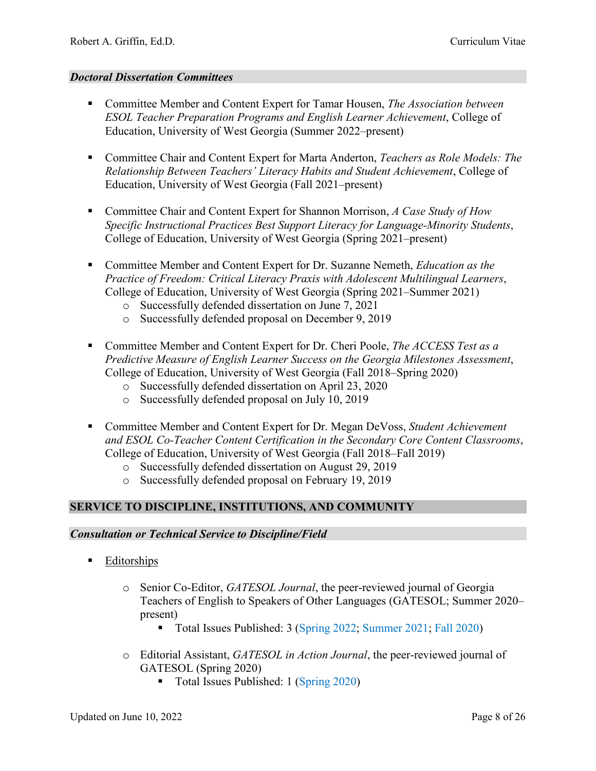#### *Doctoral Dissertation Committees*

- Committee Member and Content Expert for Tamar Housen, *The Association between ESOL Teacher Preparation Programs and English Learner Achievement*, College of Education, University of West Georgia (Summer 2022–present)
- Committee Chair and Content Expert for Marta Anderton, *Teachers as Role Models: The Relationship Between Teachers' Literacy Habits and Student Achievement*, College of Education, University of West Georgia (Fall 2021–present)
- Committee Chair and Content Expert for Shannon Morrison, *A Case Study of How Specific Instructional Practices Best Support Literacy for Language-Minority Students*, College of Education, University of West Georgia (Spring 2021–present)
- Committee Member and Content Expert for Dr. Suzanne Nemeth, *Education as the Practice of Freedom: Critical Literacy Praxis with Adolescent Multilingual Learners*, College of Education, University of West Georgia (Spring 2021–Summer 2021)
	- o Successfully defended dissertation on June 7, 2021
	- o Successfully defended proposal on December 9, 2019
- Committee Member and Content Expert for Dr. Cheri Poole, *The ACCESS Test as a Predictive Measure of English Learner Success on the Georgia Milestones Assessment*, College of Education, University of West Georgia (Fall 2018–Spring 2020)
	- o Successfully defended dissertation on April 23, 2020
	- o Successfully defended proposal on July 10, 2019
- Committee Member and Content Expert for Dr. Megan DeVoss, *Student Achievement and ESOL Co-Teacher Content Certification in the Secondary Core Content Classrooms*, College of Education, University of West Georgia (Fall 2018–Fall 2019)
	- o Successfully defended dissertation on August 29, 2019
	- o Successfully defended proposal on February 19, 2019

# **SERVICE TO DISCIPLINE, INSTITUTIONS, AND COMMUNITY**

#### *Consultation or Technical Service to Discipline/Field*

- **Editorships** 
	- o Senior Co-Editor, *GATESOL Journal*[, the peer-reviewed journal of Georgia](http://georgiatesoljournal.org/ojs/index.php/GATESOL/about/editorialTeam)  [Teachers of English to Speakers of Other Languages \(GATESOL; Summer 2020–](http://georgiatesoljournal.org/ojs/index.php/GATESOL/about/editorialTeam) [present\)](http://georgiatesoljournal.org/ojs/index.php/GATESOL/about/editorialTeam)
		- Total Issues Published: 3 [\(Spring 2022;](http://georgiatesoljournal.org/index.php/GATESOL/issue/view/19) [Summer 2021;](http://georgiatesoljournal.org/index.php/GATESOL/issue/view/18) [Fall 2020\)](http://georgiatesoljournal.org/index.php/GATESOL/issue/view/17)
	- o Editorial Assistant, *GATESOL in Action Journal*[, the peer-reviewed journal of](http://georgiatesoljournal.org/ojs/index.php/GATESOL/pages/view/about_us)  GATESOL [\(Spring 2020\)](http://georgiatesoljournal.org/ojs/index.php/GATESOL/pages/view/about_us)
		- Total Issues Published: 1 [\(Spring](http://georgiatesoljournal.org/index.php/GATESOL/issue/view/16) 2020)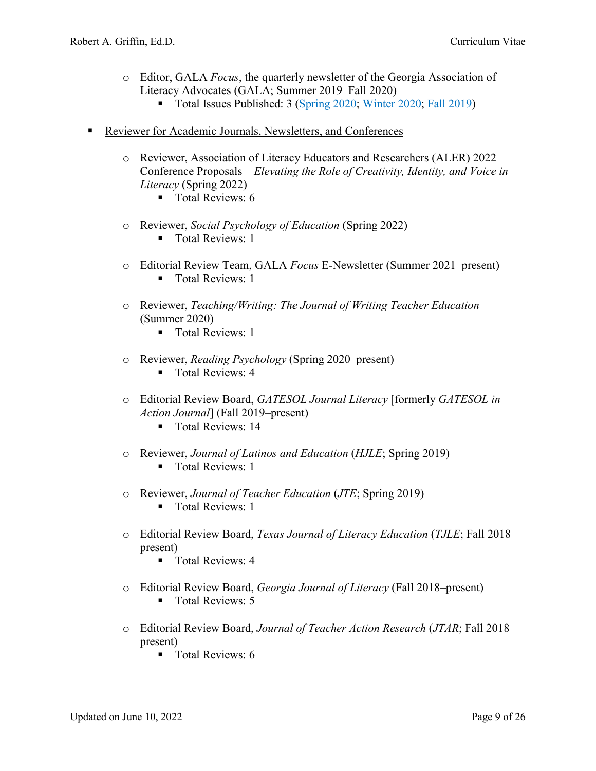- o Editor, GALA *Focus*, the quarterly newsletter of the Georgia Association of Literacy Advocates (GALA; Summer 2019–Fall 2020)
	- Total Issues Published: 3 [\(Spring 2020;](https://drive.google.com/file/d/1A5azKqStBJeCCndkYwUDjORALNxeAMn1/view?usp=sharing) [Winter 2020;](https://drive.google.com/file/d/1LOq091Yetk_VuF-a29KJxIeZ_ZJJkf_-/view?usp=sharing) [Fall 2019\)](https://drive.google.com/file/d/1wA9RQePT31up2tlGhAHxHaIiz9ZS9XYZ/view?usp=sharing)
- Reviewer for Academic Journals, Newsletters, and Conferences
	- o Reviewer, Association of Literacy Educators and Researchers (ALER) 2022 Conference Proposals – *Elevating the Role of Creativity, Identity, and Voice in Literacy* (Spring 2022)
		- Total Reviews: 6
	- o Reviewer, *Social Psychology of Education* (Spring 2022)
		- **Total Reviews: 1**
	- o Editorial Review Team, GALA *Focus* E-Newsletter (Summer 2021–present) **Total Reviews: 1**
	- o Reviewer, *Teaching/Writing: The Journal of Writing Teacher Education* (Summer 2020)
		- Total Reviews: 1
	- o Reviewer, *Reading Psychology* (Spring 2020–present)
		- Total Reviews: 4
	- o Editorial Review Board, *GATESOL Journal Literacy* [formerly *GATESOL in Action Journal*] (Fall 2019–present)
		- **Total Reviews: 14**
	- o Reviewer, *Journal of Latinos and Education* (*HJLE*; Spring 2019) ■ Total Reviews: 1
	- o Reviewer, *Journal of Teacher Education* (*JTE*; Spring 2019)
		- **Total Reviews: 1**
	- o Editorial Review Board, *Texas Journal of Literacy Education* (*TJLE*; Fall 2018– present)
		- **Total Reviews: 4**
	- o Editorial Review Board, *Georgia Journal of Literacy* (Fall 2018–present) Total Reviews: 5
	- o Editorial Review Board, *Journal of Teacher Action Research* (*JTAR*; Fall 2018– present)
		- **Total Reviews: 6**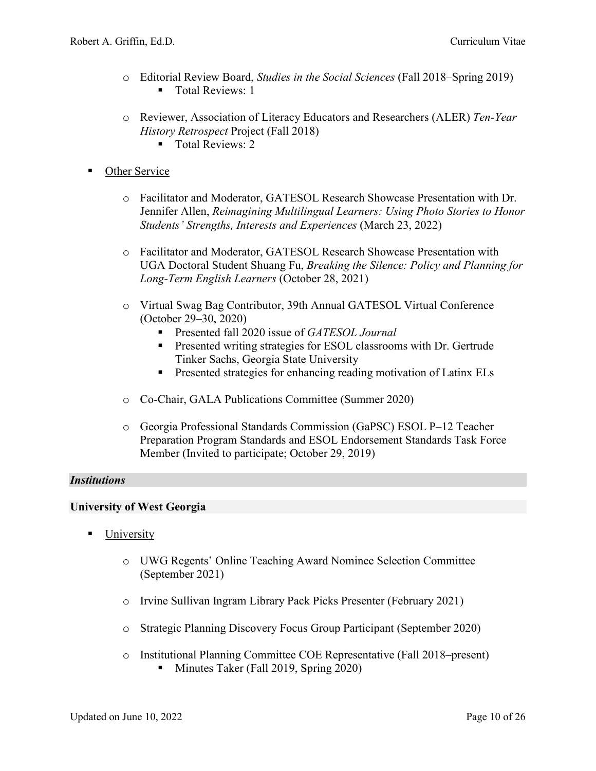- o Editorial Review Board, *Studies in the Social Sciences* (Fall 2018–Spring 2019) Total Reviews: 1
- o Reviewer, Association of Literacy Educators and Researchers (ALER) *Ten-Year History Retrospect* Project (Fall 2018)
	- Total Reviews: 2
- Other Service
	- o Facilitator and Moderator, GATESOL Research Showcase Presentation with Dr. Jennifer Allen, *Reimagining Multilingual Learners: Using Photo Stories to Honor Students' Strengths, Interests and Experiences* (March 23, 2022)
	- o Facilitator and Moderator, GATESOL Research Showcase Presentation with UGA Doctoral Student Shuang Fu, *Breaking the Silence: Policy and Planning for Long-Term English Learners* (October 28, 2021)
	- o Virtual Swag Bag Contributor, 39th Annual GATESOL Virtual Conference (October 29–30, 2020)
		- [Presented fall 2020 issue of](https://padlet.com/info6032/VirtualSwagBag2020/wish/872085320) *GATESOL Journal*
		- **Presented writing strategies for ESOL classrooms with Dr. Gertrude** [Tinker Sachs, Georgia State University](https://padlet.com/info6032/VirtualSwagBag2020/wish/653598547)
		- **[Presented strategies for enhancing reading motivation of Latinx ELs](https://padlet.com/info6032/VirtualSwagBag2020/wish/653592200)**
	- o Co-Chair, GALA Publications Committee (Summer 2020)
	- o Georgia Professional Standards Commission (GaPSC) ESOL P–12 Teacher Preparation Program Standards and ESOL Endorsement Standards Task Force Member (Invited to participate; October 29, 2019)

# *Institutions*

# **University of West Georgia**

- University
	- o UWG Regents' Online Teaching Award Nominee Selection Committee (September 2021)
	- o Irvine Sullivan Ingram Library Pack Picks Presenter (February 2021)
	- o Strategic Planning Discovery Focus Group Participant (September 2020)
	- o Institutional Planning Committee COE Representative (Fall 2018–present) Minutes Taker (Fall 2019, Spring 2020)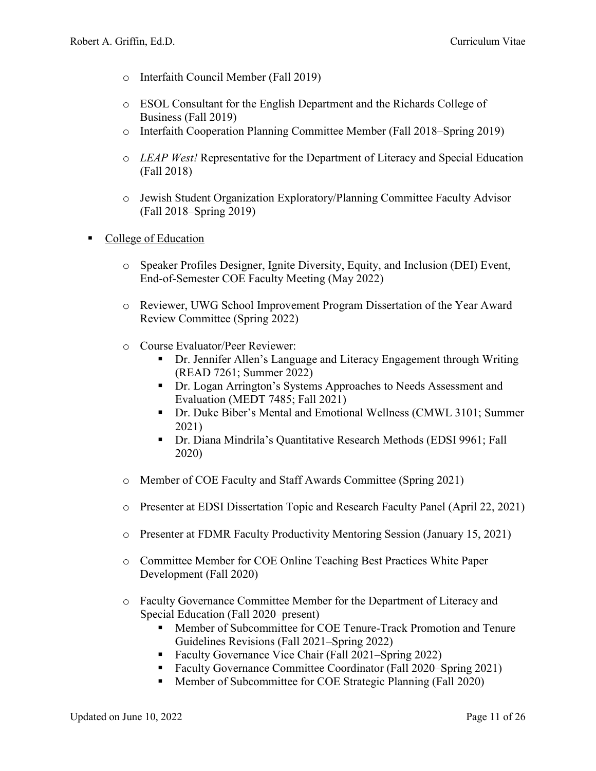- o Interfaith Council Member (Fall 2019)
- o ESOL Consultant for the English Department and the Richards College of Business (Fall 2019)
- o Interfaith Cooperation Planning Committee Member (Fall 2018–Spring 2019)
- o *LEAP West!* Representative for the Department of Literacy and Special Education (Fall 2018)
- o Jewish Student Organization Exploratory/Planning Committee Faculty Advisor (Fall 2018–Spring 2019)
- College of Education
	- o Speaker Profiles Designer, Ignite Diversity, Equity, and Inclusion (DEI) Event, End-of-Semester COE Faculty Meeting (May 2022)
	- o Reviewer, UWG School Improvement Program Dissertation of the Year Award Review Committee (Spring 2022)
	- o Course Evaluator/Peer Reviewer:
		- Dr. Jennifer Allen's Language and Literacy Engagement through Writing (READ 7261; Summer 2022)
		- **Dr.** Logan Arrington's Systems Approaches to Needs Assessment and Evaluation (MEDT 7485; Fall 2021)
		- Dr. Duke Biber's Mental and Emotional Wellness (CMWL 3101; Summer 2021)
		- Dr. Diana Mindrila's Quantitative Research Methods (EDSI 9961; Fall 2020)
	- o [Member of COE Faculty and Staff Awards Committee \(Spring 2021\)](https://drive.google.com/file/d/1DP69moDIyDPF64I7YcMs5KSIX0QS1X45/view?usp=sharing)
	- o [Presenter at EDSI Dissertation Topic and Research](https://drive.google.com/file/d/1oygzCX5Bx0m-g0aSPSFjRWPQraeTBLGS/view?usp=sharing) Faculty Panel (April 22, 2021)
	- o Presenter at FDMR Faculty Productivity Mentoring Session (January 15, 2021)
	- o Committee Member for COE Online Teaching Best Practices White Paper Development (Fall 2020)
	- o Faculty Governance Committee Member for the Department of Literacy and Special Education (Fall 2020–present)
		- Member of Subcommittee for COE Tenure-Track Promotion and Tenure Guidelines Revisions (Fall 2021–Spring 2022)
		- Faculty Governance Vice Chair (Fall 2021–Spring 2022)
		- Faculty Governance Committee Coordinator (Fall 2020–Spring 2021)
		- Member of Subcommittee for COE Strategic Planning (Fall 2020)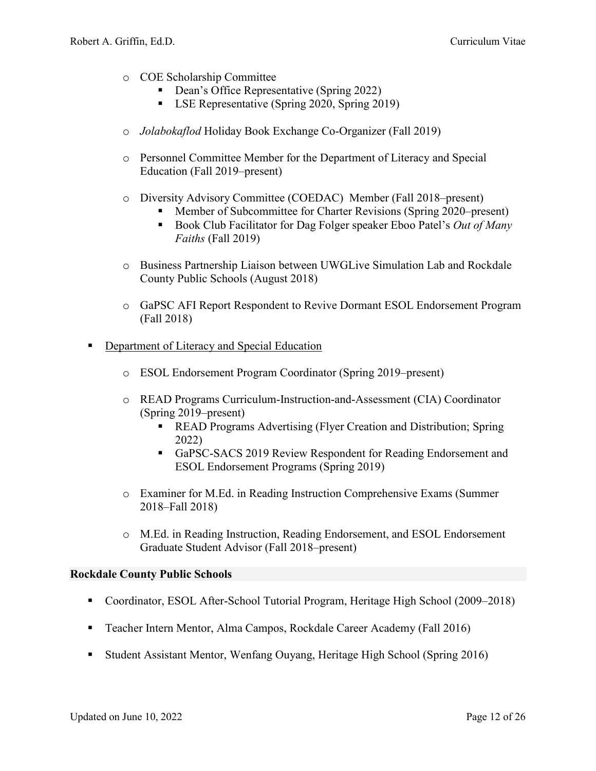- o COE Scholarship Committee
	- Dean's Office Representative (Spring 2022)
	- **LSE Representative (Spring 2020, Spring 2019)**
- o *Jolabokaflod* Holiday Book Exchange Co-Organizer (Fall 2019)
- o Personnel Committee Member for the Department of Literacy and Special Education (Fall 2019–present)
- o Diversity Advisory Committee (COEDAC) Member (Fall 2018–present)
	- Member of Subcommittee for Charter Revisions (Spring 2020–present)
	- Book Club Facilitator for Dag Folger speaker Eboo Patel's *Out of Many Faiths* (Fall 2019)
- o Business Partnership Liaison between UWGLive Simulation Lab and Rockdale County Public Schools (August 2018)
- o GaPSC AFI Report Respondent to Revive Dormant ESOL Endorsement Program (Fall 2018)
- **•** Department of Literacy and Special Education
	- o ESOL Endorsement Program Coordinator (Spring 2019–present)
	- o READ Programs Curriculum-Instruction-and-Assessment (CIA) Coordinator (Spring 2019–present)
		- **READ Programs Advertising (Flyer Creation and Distribution; Spring** 2022)
		- GaPSC-SACS 2019 Review Respondent for Reading Endorsement and ESOL Endorsement Programs (Spring 2019)
	- o Examiner for M.Ed. in Reading Instruction Comprehensive Exams (Summer 2018–Fall 2018)
	- o M.Ed. in Reading Instruction, Reading Endorsement, and ESOL Endorsement Graduate Student Advisor (Fall 2018–present)

#### **Rockdale County Public Schools**

- Coordinator, ESOL After-School Tutorial Program, Heritage High School (2009–2018)
- Teacher Intern Mentor, Alma Campos, Rockdale Career Academy (Fall 2016)
- Student Assistant Mentor, Wenfang Ouyang, Heritage High School (Spring 2016)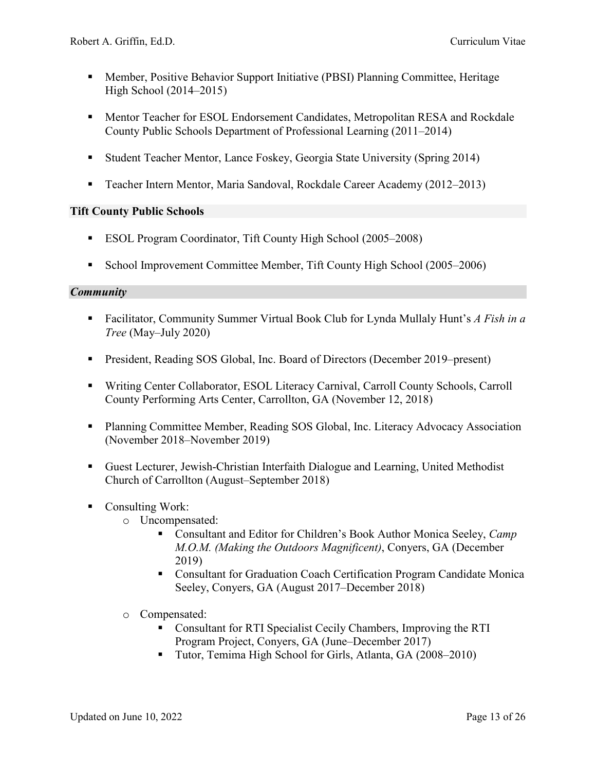- Member, Positive Behavior Support Initiative (PBSI) Planning Committee, Heritage High School (2014–2015)
- **Mentor Teacher for ESOL Endorsement Candidates, Metropolitan RESA and Rockdale** County Public Schools Department of Professional Learning (2011–2014)
- Student Teacher Mentor, Lance Foskey, Georgia State University (Spring 2014)
- Teacher Intern Mentor, Maria Sandoval, Rockdale Career Academy (2012–2013)

# **Tift County Public Schools**

- ESOL Program Coordinator, Tift County High School (2005–2008)
- School Improvement Committee Member, Tift County High School (2005–2006)

# *Community*

- [Facilitator, Community Summer Virtual Book Club](https://docs.google.com/document/d/15JW77awAZl1_d7FrHa6y6ZQIqSC679bcMZVpctBMMy8/edit?usp=sharing) for Lynda Mullaly Hunt's *A Fish in a Tree* [\(May–July 2020\)](https://docs.google.com/document/d/15JW77awAZl1_d7FrHa6y6ZQIqSC679bcMZVpctBMMy8/edit?usp=sharing)
- President, Reading SOS Global, Inc. [Board of Directors \(December 2019–present\)](https://www.readingsosglobal.org/about-us/board-of-directors/)
- Writing Center Collaborator, ESOL Literacy Carnival, Carroll County Schools, Carroll County Performing Arts Center, Carrollton, GA (November 12, 2018)
- **Planning Committee Member, Reading SOS Global, Inc. Literacy Advocacy Association** (November 2018–November 2019)
- Guest Lecturer, Jewish-Christian Interfaith Dialogue and Learning, United Methodist Church of Carrollton (August–September 2018)
- Consulting Work:
	- o Uncompensated:
		- Consultant and Editor for Children's Book Author Monica Seeley, *Camp M.O.M. (Making the Outdoors Magnificent)*, Conyers, GA (December 2019)
		- Consultant for Graduation Coach Certification Program Candidate Monica Seeley, Conyers, GA (August 2017–December 2018)
	- o Compensated:
		- Consultant for RTI Specialist Cecily Chambers, Improving the RTI Program Project, Conyers, GA (June–December 2017)
		- Tutor, Temima High School for Girls, Atlanta, GA (2008–2010)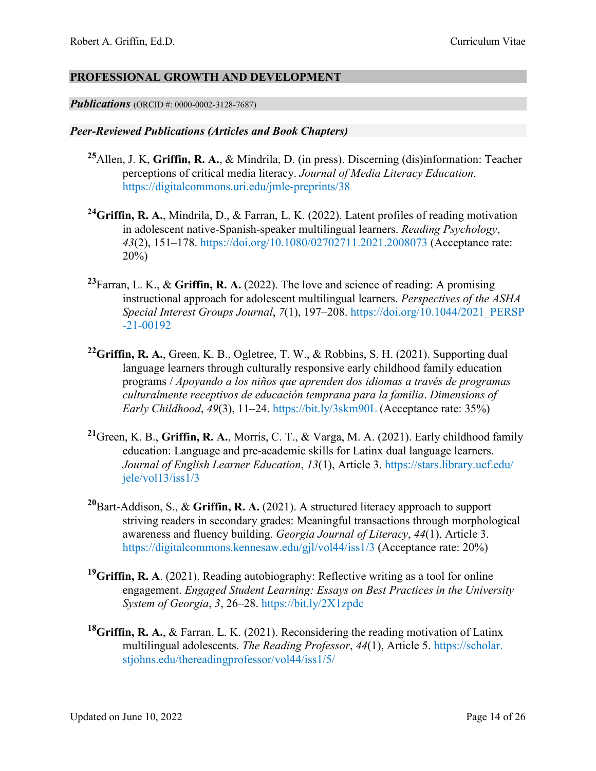# **PROFESSIONAL GROWTH AND DEVELOPMENT**

*Publications* [\(ORCID #: 0000-0002-3128-7687\)](https://orcid.org/0000-0002-3128-7687)

#### *Peer-Reviewed Publications (Articles and Book Chapters)*

- **<sup>25</sup>**Allen, J. K, **Griffin, R. A.**, & Mindrila, D. (in press). Discerning (dis)information: Teacher perceptions of critical media literacy. *Journal of Media Literacy Education*. <https://digitalcommons.uri.edu/jmle-preprints/38>
- **24Griffin, R. A.**, Mindrila, D., & Farran, L. K. (2022). Latent profiles of reading motivation in adolescent native-Spanish-speaker multilingual learners. *Reading Psychology*, *43*(2), 151–178.<https://doi.org/10.1080/02702711.2021.2008073> (Acceptance rate: 20%)
- **23** Farran, L. K., & **Griffin, R. A.** (2022). The love and science of reading: A promising instructional approach for adolescent multilingual learners. *Perspectives of the ASHA Special Interest Groups Journal*, *7*(1), 197–208. [https://doi.org/10.1044/2021\\_PERSP](https://doi.org/10.1044/2021_PERSP-21-00192) [-21-00192](https://doi.org/10.1044/2021_PERSP-21-00192)
- **22 Griffin, R. A.**, Green, K. B., Ogletree, T. W., & Robbins, S. H. (2021). Supporting dual language learners through culturally responsive early childhood family education programs / *Apoyando a los niños que aprenden dos idiomas a través de programas culturalmente receptivos de educación temprana para la familia*. *Dimensions of Early Childhood*, *49*(3), 11–24. <https://bit.ly/3skm90L> (Acceptance rate: 35%)
- **21** Green, K. B., **Griffin, R. A.**, Morris, C. T., & Varga, M. A. (2021). Early childhood family education: Language and pre-academic skills for Latinx dual language learners. *Journal of English Learner Education*, *13*(1), Article 3. [https://stars.library.ucf.edu/](https://stars.library.ucf.edu/jele/vol13/iss1/3) [jele/vol13/iss1/3](https://stars.library.ucf.edu/jele/vol13/iss1/3)
- **20** Bart-Addison, S., & **Griffin, R. A.** (2021). A structured literacy approach to support striving readers in secondary grades: Meaningful transactions through morphological awareness and fluency building. *Georgia Journal of Literacy*, *44*(1), Article 3. <https://digitalcommons.kennesaw.edu/gjl/vol44/iss1/3> (Acceptance rate: 20%)
- <sup>19</sup>Griffin, R. A. (2021). Reading autobiography: Reflective writing as a tool for online engagement. *Engaged Student Learning: Essays on Best Practices in the University System of Georgia*, *3*, 26–28.<https://bit.ly/2X1zpdc>
- **18 Griffin, R. A.**, & Farran, L. K. (2021). Reconsidering the reading motivation of Latinx multilingual adolescents. *The Reading Professor*, *44*(1), Article 5. [https://scholar.](https://scholar.stjohns.edu/thereadingprofessor/vol44/iss1/5/) [stjohns.edu/thereadingprofessor/vol44/iss1/5/](https://scholar.stjohns.edu/thereadingprofessor/vol44/iss1/5/)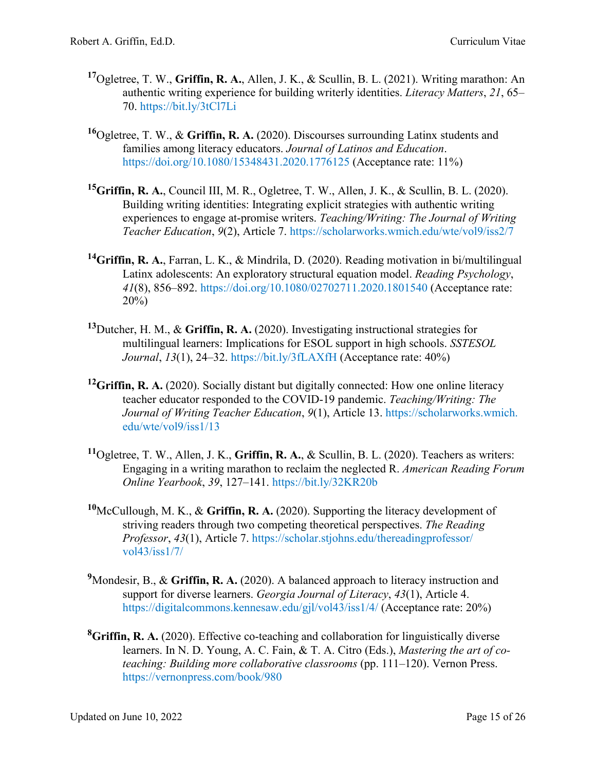- **17** Ogletree, T. W., **Griffin, R. A.**, Allen, J. K., & Scullin, B. L. (2021). Writing marathon: An authentic writing experience for building writerly identities. *Literacy Matters*, *21*, 65– 70.<https://bit.ly/3tCl7Li>
- **<sup>16</sup>**Ogletree, T. W., & **Griffin, R. A.** (2020). Discourses surrounding Latinx students and families among literacy educators. *Journal of Latinos and Education*. <https://doi.org/10.1080/15348431.2020.1776125> (Acceptance rate: 11%)
- **15 Griffin, R. A.**, Council III, M. R., Ogletree, T. W., Allen, J. K., & Scullin, B. L. (2020). Building writing identities: Integrating explicit strategies with authentic writing experiences to engage at-promise writers. *Teaching/Writing: The Journal of Writing Teacher Education*, *9*(2), Article 7. <https://scholarworks.wmich.edu/wte/vol9/iss2/7>
- **14 Griffin, R. A.**, Farran, L. K., & Mindrila, D. (2020). Reading motivation in bi/multilingual Latinx adolescents: An exploratory structural equation model. *Reading Psychology*, *41*(8), 856–892.<https://doi.org/10.1080/02702711.2020.1801540> (Acceptance rate: 20%)
- **13** Dutcher, H. M., & **Griffin, R. A.** (2020). Investigating instructional strategies for multilingual learners: Implications for ESOL support in high schools. *SSTESOL Journal*, *13*(1), 24–32.<https://bit.ly/3fLAXfH> (Acceptance rate: 40%)
- <sup>12</sup>Griffin, R. A. (2020). Socially distant but digitally connected: How one online literacy teacher educator responded to the COVID-19 pandemic. *Teaching/Writing: The Journal of Writing Teacher Education*, *9*(1), Article 13. [https://scholarworks.wmich.](https://scholarworks.wmich.edu/wte/vol9/iss1/13) [edu/wte/vol9/iss1/13](https://scholarworks.wmich.edu/wte/vol9/iss1/13)
- **11** Ogletree, T. W., Allen, J. K., **Griffin, R. A.**, & Scullin, B. L. (2020). Teachers as writers: Engaging in a writing marathon to reclaim the neglected R. *American Reading Forum Online Yearbook*, *39*, 127–141.<https://bit.ly/32KR20b>
- **10** McCullough, M. K., & **Griffin, R. A.** (2020). Supporting the literacy development of striving readers through two competing theoretical perspectives. *The Reading Professor*, *43*(1), Article 7. [https://scholar.stjohns.edu/thereadingprofessor/](https://scholar.stjohns.edu/thereadingprofessor/%20vol43/iss1/7/)  [vol43/iss1/7/](https://scholar.stjohns.edu/thereadingprofessor/%20vol43/iss1/7/)
- <sup>9</sup>Mondesir, B., & Griffin, R. A. (2020). A balanced approach to literacy instruction and support for diverse learners. *Georgia Journal of Literacy*, *43*(1), Article 4. <https://digitalcommons.kennesaw.edu/gjl/vol43/iss1/4/> (Acceptance rate: 20%)
- **8 Griffin, R. A.** (2020). Effective co-teaching and collaboration for linguistically diverse learners. In N. D. Young, A. C. Fain, & T. A. Citro (Eds.), *Mastering the art of coteaching: Building more collaborative classrooms* (pp. 111–120). Vernon Press. <https://vernonpress.com/book/980>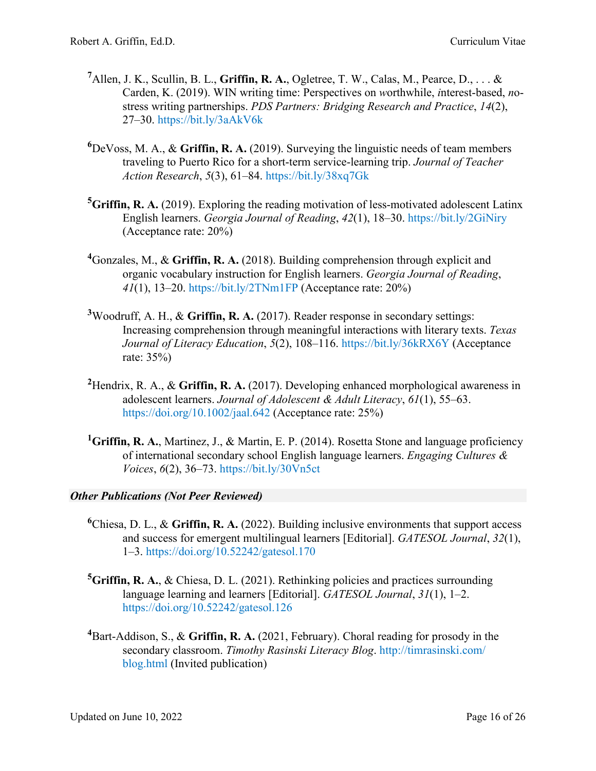- <sup>7</sup> Allen, J. K., Scullin, B. L., Griffin, R. A., Ogletree, T. W., Calas, M., Pearce, D., . . . & Carden, K. (2019). WIN writing time: Perspectives on *w*orthwhile, *i*nterest-based, *n*ostress writing partnerships. *PDS Partners: Bridging Research and Practice*, *14*(2), 27–30. <https://bit.ly/3aAkV6k>
- **6** DeVoss, M. A., & **Griffin, R. A.** (2019). Surveying the linguistic needs of team members traveling to Puerto Rico for a short-term service-learning trip. *Journal of Teacher Action Research*, *5*(3), 61–84.<https://bit.ly/38xq7Gk>
- <sup>5</sup>Griffin, R. A. (2019). Exploring the reading motivation of less-motivated adolescent Latinx English learners. *Georgia Journal of Reading*, *42*(1), 18–30.<https://bit.ly/2GiNiry> (Acceptance rate: 20%)
- **4** Gonzales, M., & **Griffin, R. A.** (2018). Building comprehension through explicit and organic vocabulary instruction for English learners. *Georgia Journal of Reading*, *41*(1), 13–20. <https://bit.ly/2TNm1FP> (Acceptance rate: 20%)
- **3** Woodruff, A. H., & **Griffin, R. A.** (2017). Reader response in secondary settings: Increasing comprehension through meaningful interactions with literary texts. *Texas Journal of Literacy Education*, *5*(2), 108–116. <https://bit.ly/36kRX6Y> (Acceptance rate: 35%)
- **2** Hendrix, R. A., & **Griffin, R. A.** (2017). Developing enhanced morphological awareness in adolescent learners. *Journal of Adolescent & Adult Literacy*, *61*(1), 55–63. <https://doi.org/10.1002/jaal.642> (Acceptance rate: 25%)
- <sup>1</sup>Griffin, R. A., Martinez, J., & Martin, E. P. (2014). Rosetta Stone and language proficiency of international secondary school English language learners. *Engaging Cultures & Voices*, *6*(2), 36–73. <https://bit.ly/30Vn5ct>

# *Other Publications (Not Peer Reviewed)*

- **6** Chiesa, D. L., & **Griffin, R. A.** (2022). Building inclusive environments that support access and success for emergent multilingual learners [Editorial]. *GATESOL Journal*, *32*(1), 1–3.<https://doi.org/10.52242/gatesol.170>
- **5 Griffin, R. A.**, & Chiesa, D. L. (2021). Rethinking policies and practices surrounding language learning and learners [Editorial]. *GATESOL Journal*, *31*(1), 1–2. <https://doi.org/10.52242/gatesol.126>
- **4** Bart-Addison, S., & **Griffin, R. A.** (2021, February). Choral reading for prosody in the secondary classroom. *Timothy Rasinski Literacy Blog*. [http://timrasinski.com/](https://timrasinski.com/presentations/Choral_Reading_Prosody_Secondary_Classroom.pdf) [blog.html](https://timrasinski.com/presentations/Choral_Reading_Prosody_Secondary_Classroom.pdf) (Invited publication)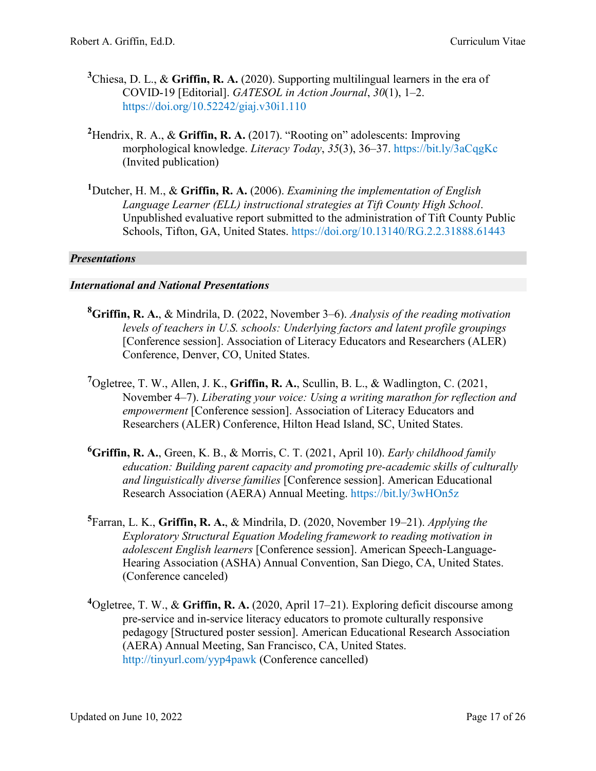- **3** Chiesa, D. L., & **Griffin, R. A.** (2020). Supporting multilingual learners in the era of COVID-19 [Editorial]. *GATESOL in Action Journal*, *30*(1), 1–2. <https://doi.org/10.52242/giaj.v30i1.110>
- **2** Hendrix, R. A., & **Griffin, R. A.** (2017). "Rooting on" adolescents: Improving morphological knowledge. *Literacy Today*, *35*(3), 36–37. <https://bit.ly/3aCqgKc> (Invited publication)
- **1** Dutcher, H. M., & **Griffin, R. A.** (2006). *Examining the implementation of English Language Learner (ELL) instructional strategies at Tift County High School*. Unpublished evaluative report submitted to the administration of Tift County Public Schools, Tifton, GA, United States. <https://doi.org/10.13140/RG.2.2.31888.61443>

# *Presentations*

#### *International and National Presentations*

- **8 Griffin, R. A.**, & Mindrila, D. (2022, November 3–6). *Analysis of the reading motivation levels of teachers in U.S. schools: Underlying factors and latent profile groupings* [Conference session]. Association of Literacy Educators and Researchers (ALER) Conference, Denver, CO, United States.
- **7** Ogletree, T. W., Allen, J. K., **Griffin, R. A.**, Scullin, B. L., & Wadlington, C. (2021, November 4–7). *Liberating your voice: Using a writing marathon for reflection and empowerment* [Conference session]. Association of Literacy Educators and Researchers (ALER) Conference, Hilton Head Island, SC, United States.
- **6 Griffin, R. A.**, Green, K. B., & Morris, C. T. (2021, April 10). *Early childhood family education: Building parent capacity and promoting pre-academic skills of culturally and linguistically diverse families* [Conference session]. American Educational Research Association (AERA) Annual Meeting. <https://bit.ly/3wHOn5z>
- **5** Farran, L. K., **Griffin, R. A.**, & Mindrila, D. (2020, November 19–21). *Applying the Exploratory Structural Equation Modeling framework to reading motivation in adolescent English learners* [Conference session]. American Speech-Language-Hearing Association (ASHA) Annual Convention, San Diego, CA, United States. (Conference canceled)
- **4** Ogletree, T. W., & **Griffin, R. A.** (2020, April 17–21). Exploring deficit discourse among pre-service and in-service literacy educators to promote culturally responsive pedagogy [Structured poster session]. American Educational Research Association (AERA) Annual Meeting, San Francisco, CA, United States. <http://tinyurl.com/yyp4pawk> (Conference cancelled)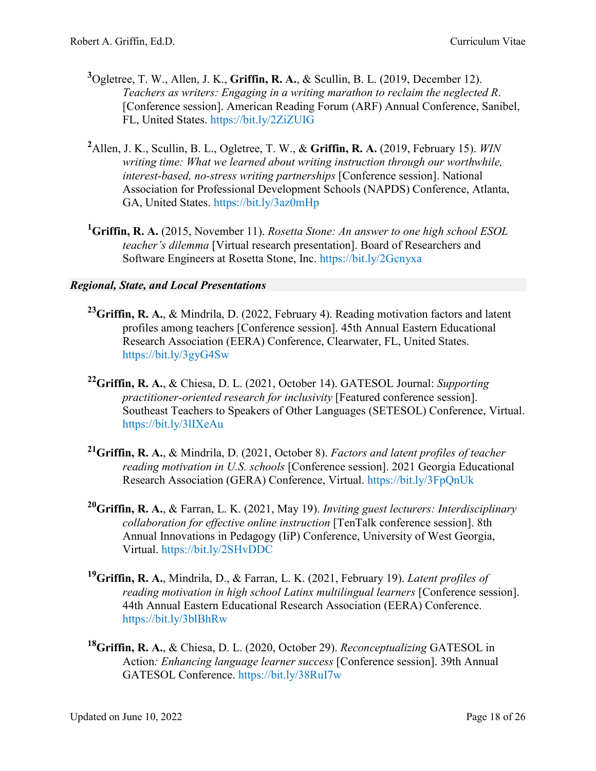- **3** Ogletree, T. W., Allen, J. K., **Griffin, R. A.**, & Scullin, B. L. (2019, December 12). *Teachers as writers: Engaging in a writing marathon to reclaim the neglected R*. [Conference session]. American Reading Forum (ARF) Annual Conference, Sanibel, FL, United States. <https://bit.ly/2ZiZUIG>
- **2** Allen, J. K., Scullin, B. L., Ogletree, T. W., & **Griffin, R. A.** (2019, February 15). *WIN writing time: What we learned about writing instruction through our worthwhile, interest-based, no-stress writing partnerships* [Conference session]. National Association for Professional Development Schools (NAPDS) Conference, Atlanta, GA, United States. <https://bit.ly/3az0mHp>
- **1 Griffin, R. A.** (2015, November 11). *Rosetta Stone: An answer to one high school ESOL teacher's dilemma* [Virtual research presentation]. Board of Researchers and Software Engineers at Rosetta Stone, Inc. <https://bit.ly/2Gcnyxa>

#### *Regional, State, and Local Presentations*

- **23Griffin, R. A.**, & Mindrila, D. (2022, February 4). Reading motivation factors and latent profiles among teachers [Conference session]. 45th Annual Eastern Educational Research Association (EERA) Conference, Clearwater, FL, United States. <https://bit.ly/3gyG4Sw>
- **22 Griffin, R. A.**, & Chiesa, D. L. (2021, October 14). GATESOL Journal: *Supporting practitioner-oriented research for inclusivity* [Featured conference session]. Southeast Teachers to Speakers of Other Languages (SETESOL) Conference, Virtual. <https://bit.ly/3lIXeAu>
- **21Griffin, R. A.**, & Mindrila, D. (2021, October 8). *Factors and latent profiles of teacher reading motivation in U.S. schools* [Conference session]. 2021 Georgia Educational Research Association (GERA) Conference, Virtual.<https://bit.ly/3FpQnUk>
- **20Griffin, R. A.**, & Farran, L. K. (2021, May 19). *Inviting guest lecturers: Interdisciplinary collaboration for effective online instruction* [TenTalk conference session]. 8th Annual Innovations in Pedagogy (IiP) Conference, University of West Georgia, Virtual. <https://bit.ly/2SHvDDC>
- **19Griffin, R. A.**, Mindrila, D., & Farran, L. K. (2021, February 19). *Latent profiles of reading motivation in high school Latinx multilingual learners* [Conference session]. 44th Annual Eastern Educational Research Association (EERA) Conference. <https://bit.ly/3blBhRw>
- **18Griffin, R. A.**, & Chiesa, D. L. (2020, October 29). *Reconceptualizing* GATESOL in Action*: Enhancing language learner success* [Conference session]. 39th Annual GATESOL Conference. <https://bit.ly/38RuI7w>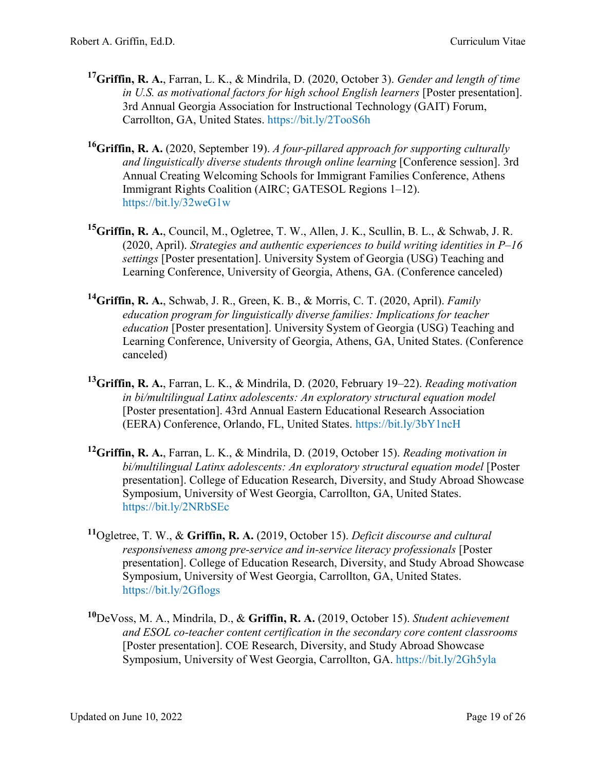- **17 Griffin, R. A.**, Farran, L. K., & Mindrila, D. (2020, October 3). *Gender and length of time in U.S. as motivational factors for high school English learners* [Poster presentation]. 3rd Annual Georgia Association for Instructional Technology (GAIT) Forum, Carrollton, GA, United States.<https://bit.ly/2TooS6h>
- **16 Griffin, R. A.** [\(2020, September 19\).](https://bit.ly/32weG1w) *A four-pillared approach for supporting culturally [and linguistically diverse students through online learning](https://bit.ly/32weG1w)* [Conference session]. 3rd Annual Creating [Welcoming Schools for Immigrant Families Conference,](https://bit.ly/32weG1w) Athens [Immigrant Rights Coalition \(AIRC; GATESOL Regions 1–12\).](https://bit.ly/32weG1w) <https://bit.ly/32weG1w>
- **15 Griffin, R. A.**, Council, M., Ogletree, T. W., Allen, J. K., Scullin, B. L., & Schwab, J. R. (2020, April). *Strategies and authentic experiences to build writing identities in P–16 settings* [Poster presentation]. University System of Georgia (USG) Teaching and Learning Conference, University of Georgia, Athens, GA. (Conference canceled)
- **14 Griffin, R. A.**, Schwab, J. R., Green, K. B., & Morris, C. T. (2020, April). *Family education program for linguistically diverse families: Implications for teacher education* [Poster presentation]. University System of Georgia (USG) Teaching and Learning Conference, University of Georgia, Athens, GA, United States. (Conference canceled)
- **13Griffin, R. A.**, Farran, L. K., & Mindrila, D. (2020, February 19–22). *Reading motivation in bi/multilingual Latinx adolescents: An exploratory structural equation model*  [Poster presentation]. 43rd Annual Eastern Educational Research Association (EERA) Conference, Orlando, FL, United States. <https://bit.ly/3bY1ncH>
- **12Griffin, R. A.**[, Farran, L. K., & Mindrila, D. \(2019, October 15\).](https://drive.google.com/open?id=0B20jEQyoka6rd1hwWGxFZlZvRHpJclJhXzZHcWFRVWJvc21z) *Reading motivation in [bi/multilingual Latinx adolescents: An exploratory structural equation model](https://drive.google.com/open?id=0B20jEQyoka6rd1hwWGxFZlZvRHpJclJhXzZHcWFRVWJvc21z)* [Poster presentation]. [College of Education Research, Diversity, and Study Abroad Showcase](https://drive.google.com/open?id=0B20jEQyoka6rd1hwWGxFZlZvRHpJclJhXzZHcWFRVWJvc21z)  [Symposium, University of West Georgia, Carrollton, GA, United States.](https://drive.google.com/open?id=0B20jEQyoka6rd1hwWGxFZlZvRHpJclJhXzZHcWFRVWJvc21z) <https://bit.ly/2NRbSEc>
- **<sup>11</sup>**Ogletree, T. W., & **Griffin, R. A.** (2019, October 15). *Deficit discourse and cultural responsiveness among pre-service and in-service literacy professionals* [Poster presentation]. College of Education Research, Diversity, and Study Abroad Showcase Symposium, University of West Georgia, Carrollton, GA, United States. <https://bit.ly/2Gflogs>
- **<sup>10</sup>**DeVoss, M. A., Mindrila, D., & **Griffin, R. A.** (2019, October 15). *Student achievement and ESOL co-teacher content certification in the secondary core content classrooms* [Poster presentation]. COE Research, Diversity, and Study Abroad Showcase Symposium, University of West Georgia, Carrollton, GA. <https://bit.ly/2Gh5yla>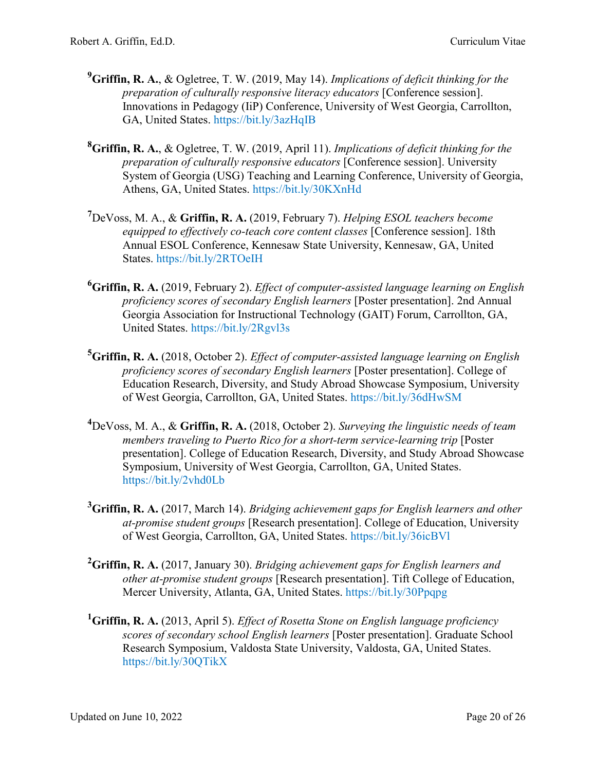- **9 Griffin, R. A.**, & Ogletree, T. W. (2019, May 14). *Implications of deficit thinking for the preparation of culturally responsive literacy educators* [Conference session]. Innovations in Pedagogy (IiP) Conference, University of West Georgia, Carrollton, GA, United States. <https://bit.ly/3azHqIB>
- **8 Griffin, R. A.**, & Ogletree, T. W. (2019, April 11). *Implications of deficit thinking for the preparation of culturally responsive educators* [Conference session]. University System of Georgia (USG) Teaching and Learning Conference, University of Georgia, Athens, GA, United States. <https://bit.ly/30KXnHd>
- **7** DeVoss, M. A., & **Griffin, R. A.** (2019, February 7). *Helping ESOL teachers become equipped to effectively co-teach core content classes* [Conference session]. 18th Annual ESOL Conference, Kennesaw State University, Kennesaw, GA, United States. <https://bit.ly/2RTOeIH>
- **6 Griffin, R. A.** (2019, February 2). *Effect of computer-assisted language learning on English proficiency scores of secondary English learners* [Poster presentation]. 2nd Annual Georgia Association for Instructional Technology (GAIT) Forum, Carrollton, GA, United States. <https://bit.ly/2Rgvl3s>
- **5 Griffin, R. A.** (2018, October 2). *Effect of computer-assisted language learning on English proficiency scores of secondary English learners* [Poster presentation]. College of Education Research, Diversity, and Study Abroad Showcase Symposium, University of West Georgia, Carrollton, GA, United States. <https://bit.ly/36dHwSM>
- **4** DeVoss, M. A., & **Griffin, R. A.** (2018, October 2). *Surveying the linguistic needs of team members traveling to Puerto Rico for a short-term service-learning trip* [Poster presentation]. College of Education Research, Diversity, and Study Abroad Showcase Symposium, University of West Georgia, Carrollton, GA, United States. <https://bit.ly/2vhd0Lb>
- **3 Griffin, R. A.** (2017, March 14). *Bridging achievement gaps for English learners and other at-promise student groups* [Research presentation]. College of Education, University of West Georgia, Carrollton, GA, United States. <https://bit.ly/36icBVl>
- **2 Griffin, R. A.** (2017, January 30). *Bridging achievement gaps for English learners and other at-promise student groups* [Research presentation]. Tift College of Education, Mercer University, Atlanta, GA, United States. <https://bit.ly/30Ppqpg>
- **1 Griffin, R. A.** (2013, April 5). *Effect of Rosetta Stone on English language proficiency scores of secondary school English learners* [Poster presentation]. Graduate School Research Symposium, Valdosta State University, Valdosta, GA, United States. <https://bit.ly/30QTikX>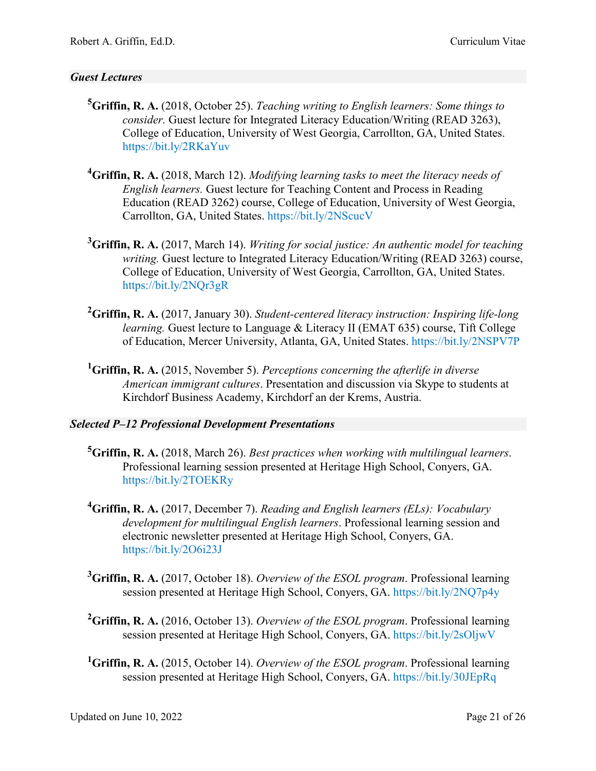# *Guest Lectures*

- **5 Griffin, R. A.** (2018, October 25). *Teaching writing to English learners: Some things to consider.* Guest lecture for Integrated Literacy Education/Writing (READ 3263), College of Education, University of West Georgia, Carrollton, GA, United States. <https://bit.ly/2RKaYuv>
- **4 Griffin, R. A.** (2018, March 12). *Modifying learning tasks to meet the literacy needs of English learners.* Guest lecture for Teaching Content and Process in Reading Education (READ 3262) course, College of Education, University of West Georgia, Carrollton, GA, United States. <https://bit.ly/2NScucV>
- **3 Griffin, R. A.** (2017, March 14). *Writing for social justice: An authentic model for teaching writing.* Guest lecture to Integrated Literacy Education/Writing (READ 3263) course, College of Education, University of West Georgia, Carrollton, GA, United States. <https://bit.ly/2NQr3gR>
- **2 Griffin, R. A.** (2017, January 30). *Student-centered literacy instruction: Inspiring life-long learning.* Guest lecture to Language & Literacy II (EMAT 635) course, Tift College of Education, Mercer University, Atlanta, GA, United States. <https://bit.ly/2NSPV7P>
- **1 Griffin, R. A.** (2015, November 5). *Perceptions concerning the afterlife in diverse American immigrant cultures*. Presentation and discussion via Skype to students at Kirchdorf Business Academy, Kirchdorf an der Krems, Austria.

#### *Selected P–12 Professional Development Presentations*

- **5 Griffin, R. A.** (2018, March 26). *Best practices when working with multilingual learners*. Professional learning session presented at Heritage High School, Conyers, GA. <https://bit.ly/2TOEKRy>
- **4 Griffin, R. A.** (2017, December 7). *Reading and English learners (ELs): Vocabulary development for multilingual English learners*. Professional learning session and electronic newsletter presented at Heritage High School, Conyers, GA. <https://bit.ly/2O6i23J>
- **3 Griffin, R. A.** (2017, October 18). *Overview of the ESOL program*. Professional learning session presented at Heritage High School, Conyers, GA. <https://bit.ly/2NQ7p4y>
- **2 Griffin, R. A.** (2016, October 13). *Overview of the ESOL program*. Professional learning session presented at Heritage High School, Conyers, GA. <https://bit.ly/2sOljwV>
- **1 Griffin, R. A.** (2015, October 14). *Overview of the ESOL program*. Professional learning session presented at Heritage High School, Conyers, GA. <https://bit.ly/30JEpRq>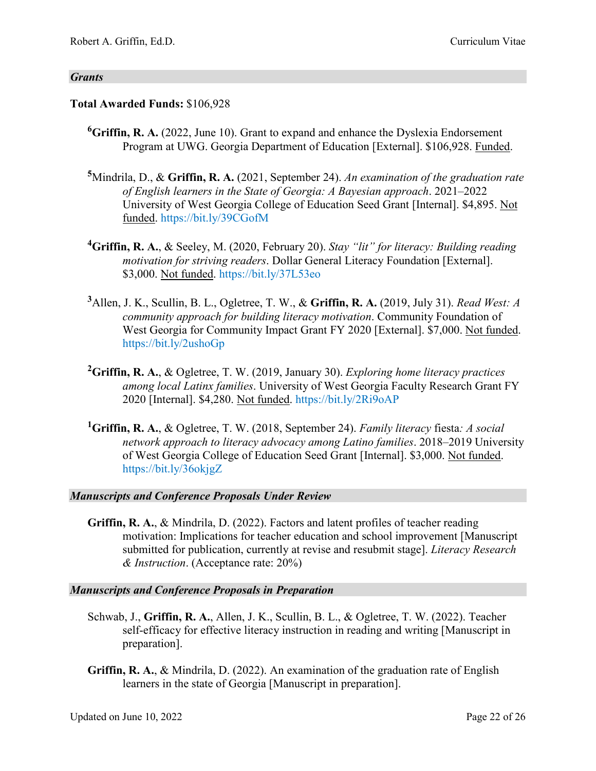#### *Grants*

# **Total Awarded Funds:** \$106,928

- **6 Griffin, R. A.** (2022, June 10). Grant to expand and enhance the Dyslexia Endorsement Program at UWG. Georgia Department of Education [External]. \$106,928. Funded.
- **5** Mindrila, D., & **Griffin, R. A.** (2021, September 24). *An examination of the graduation rate of English learners in the State of Georgia: A Bayesian approach*. 2021–2022 University of West Georgia College of Education Seed Grant [Internal]. \$4,895. Not funded. <https://bit.ly/39CGofM>
- **4 Griffin, R. A.**, & Seeley, M. (2020, February 20). *Stay "lit" for literacy: Building reading motivation for striving readers*. Dollar General Literacy Foundation [External]. \$3,000. Not funded. <https://bit.ly/37L53eo>
- **3** Allen, J. K., Scullin, B. L., Ogletree, T. W., & **Griffin, R. A.** (2019, July 31). *Read West: A community approach for building literacy motivation*. Community Foundation of West Georgia for Community Impact Grant FY 2020 [External]. \$7,000. Not funded. <https://bit.ly/2ushoGp>
- **2 Griffin, R. A.**, & Ogletree, T. W. (2019, January 30). *Exploring home literacy practices among local Latinx families*. University of West Georgia Faculty Research Grant FY 2020 [Internal]. \$4,280. Not funded. <https://bit.ly/2Ri9oAP>
- **1 Griffin, R. A.**, & Ogletree, T. W. (2018, September 24). *Family literacy* fiesta*: A social network approach to literacy advocacy among Latino families*. 2018–2019 University of West Georgia College of Education Seed Grant [Internal]. \$3,000. Not funded. <https://bit.ly/36okjgZ>

#### *Manuscripts and Conference Proposals Under Review*

**Griffin, R. A.**, & Mindrila, D. (2022). Factors and latent profiles of teacher reading motivation: Implications for teacher education and school improvement [Manuscript submitted for publication, currently at revise and resubmit stage]. *Literacy Research & Instruction*. (Acceptance rate: 20%)

#### *Manuscripts and Conference Proposals in Preparation*

- Schwab, J., **Griffin, R. A.**, Allen, J. K., Scullin, B. L., & Ogletree, T. W. (2022). Teacher self-efficacy for effective literacy instruction in reading and writing [Manuscript in preparation].
- **Griffin, R. A.**, & Mindrila, D. (2022). An examination of the graduation rate of English learners in the state of Georgia [Manuscript in preparation].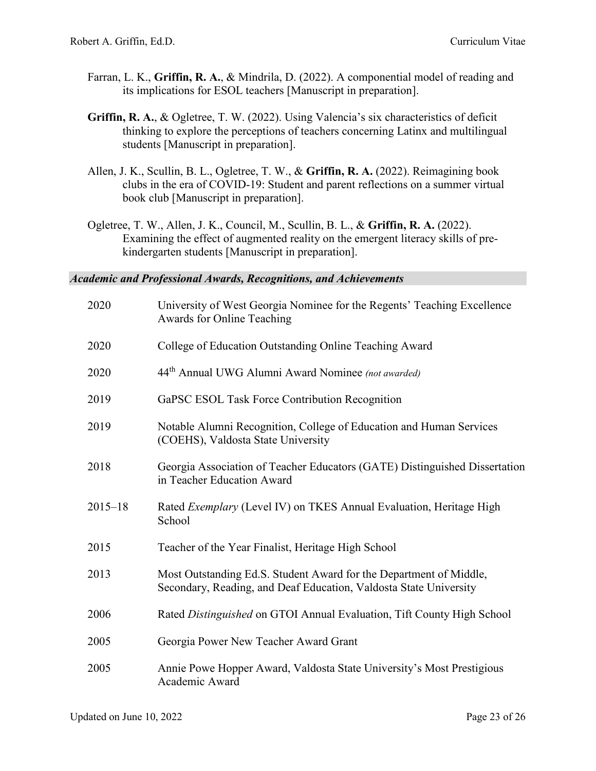- Farran, L. K., **Griffin, R. A.**, & Mindrila, D. (2022). A componential model of reading and its implications for ESOL teachers [Manuscript in preparation].
- **Griffin, R. A.**, & Ogletree, T. W. (2022). Using Valencia's six characteristics of deficit thinking to explore the perceptions of teachers concerning Latinx and multilingual students [Manuscript in preparation].
- Allen, J. K., Scullin, B. L., Ogletree, T. W., & **Griffin, R. A.** (2022). Reimagining book clubs in the era of COVID-19: Student and parent reflections on a summer virtual book club [Manuscript in preparation].
- Ogletree, T. W., Allen, J. K., Council, M., Scullin, B. L., & **Griffin, R. A.** (2022). Examining the effect of augmented reality on the emergent literacy skills of prekindergarten students [Manuscript in preparation].

*Academic and Professional Awards, Recognitions, and Achievements*

| 2020        | University of West Georgia Nominee for the Regents' Teaching Excellence<br>Awards for Online Teaching                                   |
|-------------|-----------------------------------------------------------------------------------------------------------------------------------------|
| 2020        | College of Education Outstanding Online Teaching Award                                                                                  |
| 2020        | 44 <sup>th</sup> Annual UWG Alumni Award Nominee (not awarded)                                                                          |
| 2019        | GaPSC ESOL Task Force Contribution Recognition                                                                                          |
| 2019        | Notable Alumni Recognition, College of Education and Human Services<br>(COEHS), Valdosta State University                               |
| 2018        | Georgia Association of Teacher Educators (GATE) Distinguished Dissertation<br>in Teacher Education Award                                |
| $2015 - 18$ | Rated <i>Exemplary</i> (Level IV) on TKES Annual Evaluation, Heritage High<br>School                                                    |
| 2015        | Teacher of the Year Finalist, Heritage High School                                                                                      |
| 2013        | Most Outstanding Ed.S. Student Award for the Department of Middle,<br>Secondary, Reading, and Deaf Education, Valdosta State University |
| 2006        | Rated Distinguished on GTOI Annual Evaluation, Tift County High School                                                                  |
| 2005        | Georgia Power New Teacher Award Grant                                                                                                   |
| 2005        | Annie Powe Hopper Award, Valdosta State University's Most Prestigious<br>Academic Award                                                 |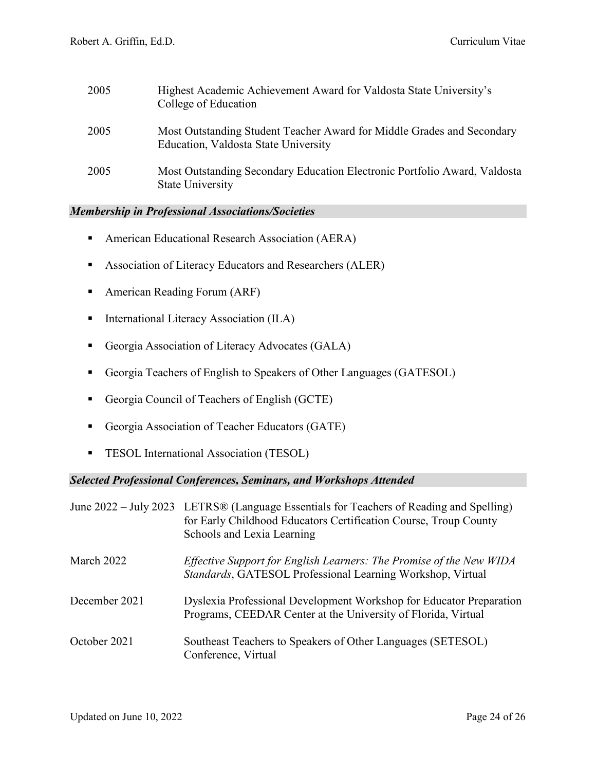| 2005 | Highest Academic Achievement Award for Valdosta State University's<br>College of Education                     |
|------|----------------------------------------------------------------------------------------------------------------|
| 2005 | Most Outstanding Student Teacher Award for Middle Grades and Secondary<br>Education, Valdosta State University |
| 2005 | Most Outstanding Secondary Education Electronic Portfolio Award, Valdosta<br><b>State University</b>           |

#### *Membership in Professional Associations/Societies*

- **American Educational Research Association (AERA)**
- **Association of Literacy Educators and Researchers (ALER)**
- American Reading Forum (ARF)
- **International Literacy Association (ILA)**
- Georgia Association of Literacy Advocates (GALA)
- Georgia Teachers of English to Speakers of Other Languages (GATESOL)
- Georgia Council of Teachers of English (GCTE)
- Georgia Association of Teacher Educators (GATE)
- **TESOL International Association (TESOL)**

#### *Selected Professional Conferences, Seminars, and Workshops Attended*

|               | June 2022 – July 2023 LETRS® (Language Essentials for Teachers of Reading and Spelling)<br>for Early Childhood Educators Certification Course, Troup County<br>Schools and Lexia Learning |
|---------------|-------------------------------------------------------------------------------------------------------------------------------------------------------------------------------------------|
| March 2022    | Effective Support for English Learners: The Promise of the New WIDA<br>Standards, GATESOL Professional Learning Workshop, Virtual                                                         |
| December 2021 | Dyslexia Professional Development Workshop for Educator Preparation<br>Programs, CEEDAR Center at the University of Florida, Virtual                                                      |
| October 2021  | Southeast Teachers to Speakers of Other Languages (SETESOL)<br>Conference, Virtual                                                                                                        |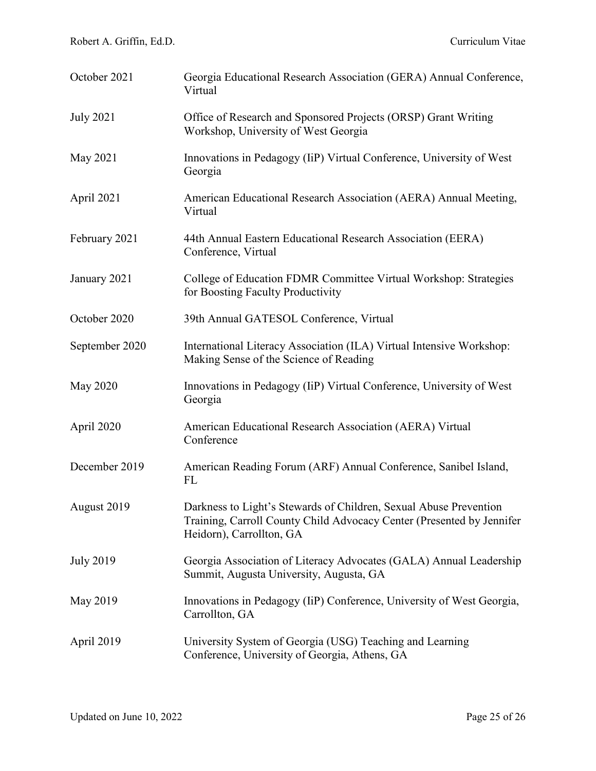| October 2021     | Georgia Educational Research Association (GERA) Annual Conference,<br>Virtual                                                                                          |
|------------------|------------------------------------------------------------------------------------------------------------------------------------------------------------------------|
| <b>July 2021</b> | Office of Research and Sponsored Projects (ORSP) Grant Writing<br>Workshop, University of West Georgia                                                                 |
| May 2021         | Innovations in Pedagogy (IiP) Virtual Conference, University of West<br>Georgia                                                                                        |
| April 2021       | American Educational Research Association (AERA) Annual Meeting,<br>Virtual                                                                                            |
| February 2021    | 44th Annual Eastern Educational Research Association (EERA)<br>Conference, Virtual                                                                                     |
| January 2021     | College of Education FDMR Committee Virtual Workshop: Strategies<br>for Boosting Faculty Productivity                                                                  |
| October 2020     | 39th Annual GATESOL Conference, Virtual                                                                                                                                |
| September 2020   | International Literacy Association (ILA) Virtual Intensive Workshop:<br>Making Sense of the Science of Reading                                                         |
| <b>May 2020</b>  | Innovations in Pedagogy (IiP) Virtual Conference, University of West<br>Georgia                                                                                        |
| April 2020       | American Educational Research Association (AERA) Virtual<br>Conference                                                                                                 |
| December 2019    | American Reading Forum (ARF) Annual Conference, Sanibel Island,<br>FL                                                                                                  |
| August 2019      | Darkness to Light's Stewards of Children, Sexual Abuse Prevention<br>Training, Carroll County Child Advocacy Center (Presented by Jennifer<br>Heidorn), Carrollton, GA |
| <b>July 2019</b> | Georgia Association of Literacy Advocates (GALA) Annual Leadership<br>Summit, Augusta University, Augusta, GA                                                          |
| May 2019         | Innovations in Pedagogy (IiP) Conference, University of West Georgia,<br>Carrollton, GA                                                                                |
| April 2019       | University System of Georgia (USG) Teaching and Learning<br>Conference, University of Georgia, Athens, GA                                                              |